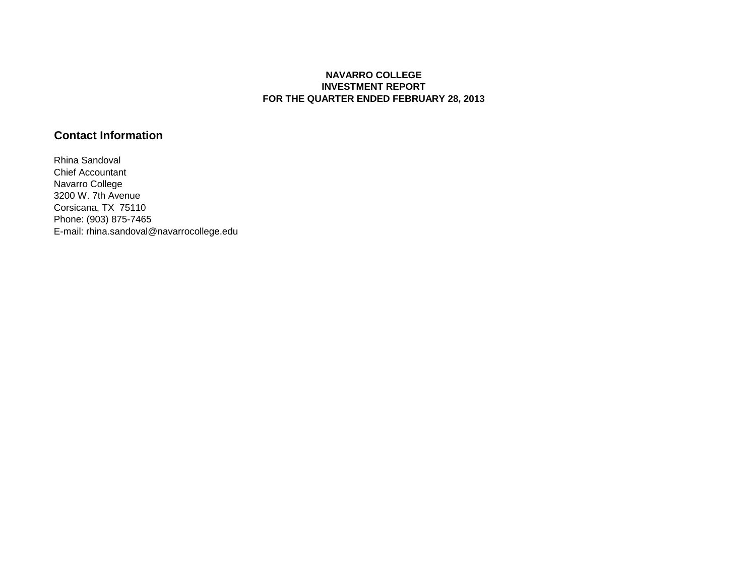## **NAVARRO COLLEGE INVESTMENT REPORT FOR THE QUARTER ENDED FEBRUARY 28, 2013**

# **Contact Information**

Rhina Sandoval Chief Accountant Navarro College 3200 W. 7th Avenue Corsicana, TX 75110 Phone: (903) 875-7465 E-mail: rhina.sandoval@navarrocollege.edu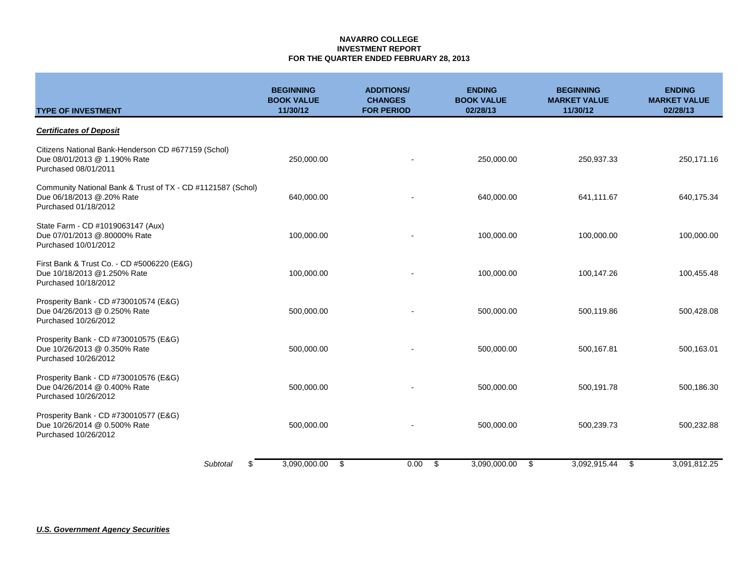### **NAVARRO COLLEGE INVESTMENT REPORT FOR THE QUARTER ENDED FEBRUARY 28, 2013**

| <b>TYPE OF INVESTMENT</b>                                                                                        | <b>BEGINNING</b><br><b>BOOK VALUE</b><br>11/30/12 | <b>ADDITIONS/</b><br><b>CHANGES</b><br><b>FOR PERIOD</b> | <b>ENDING</b><br><b>BOOK VALUE</b><br>02/28/13 | <b>BEGINNING</b><br><b>MARKET VALUE</b><br>11/30/12 | <b>ENDING</b><br><b>MARKET VALUE</b><br>02/28/13 |
|------------------------------------------------------------------------------------------------------------------|---------------------------------------------------|----------------------------------------------------------|------------------------------------------------|-----------------------------------------------------|--------------------------------------------------|
| <b>Certificates of Deposit</b>                                                                                   |                                                   |                                                          |                                                |                                                     |                                                  |
| Citizens National Bank-Henderson CD #677159 (Schol)<br>Due 08/01/2013 @ 1.190% Rate<br>Purchased 08/01/2011      | 250,000.00                                        |                                                          | 250,000.00                                     | 250,937.33                                          | 250,171.16                                       |
| Community National Bank & Trust of TX - CD #1121587 (Schol)<br>Due 06/18/2013 @.20% Rate<br>Purchased 01/18/2012 | 640,000.00                                        |                                                          | 640,000.00                                     | 641,111.67                                          | 640,175.34                                       |
| State Farm - CD #1019063147 (Aux)<br>Due 07/01/2013 @.80000% Rate<br>Purchased 10/01/2012                        | 100,000.00                                        |                                                          | 100,000.00                                     | 100,000.00                                          | 100,000.00                                       |
| First Bank & Trust Co. - CD #5006220 (E&G)<br>Due 10/18/2013 @1.250% Rate<br>Purchased 10/18/2012                | 100,000.00                                        |                                                          | 100,000.00                                     | 100,147.26                                          | 100,455.48                                       |
| Prosperity Bank - CD #730010574 (E&G)<br>Due 04/26/2013 @ 0.250% Rate<br>Purchased 10/26/2012                    | 500,000.00                                        |                                                          | 500,000.00                                     | 500,119.86                                          | 500,428.08                                       |
| Prosperity Bank - CD #730010575 (E&G)<br>Due 10/26/2013 @ 0.350% Rate<br>Purchased 10/26/2012                    | 500,000.00                                        |                                                          | 500,000.00                                     | 500,167.81                                          | 500,163.01                                       |
| Prosperity Bank - CD #730010576 (E&G)<br>Due 04/26/2014 @ 0.400% Rate<br>Purchased 10/26/2012                    | 500,000.00                                        |                                                          | 500,000.00                                     | 500,191.78                                          | 500,186.30                                       |
| Prosperity Bank - CD #730010577 (E&G)<br>Due 10/26/2014 @ 0.500% Rate<br>Purchased 10/26/2012                    | 500,000.00                                        |                                                          | 500,000.00                                     | 500,239.73                                          | 500,232.88                                       |
| Subtotal<br>\$.                                                                                                  | 3,090,000.00                                      | \$<br>0.00                                               | \$<br>3,090,000.00                             | 3.092.915.44<br>- \$                                | 3,091,812.25<br>\$                               |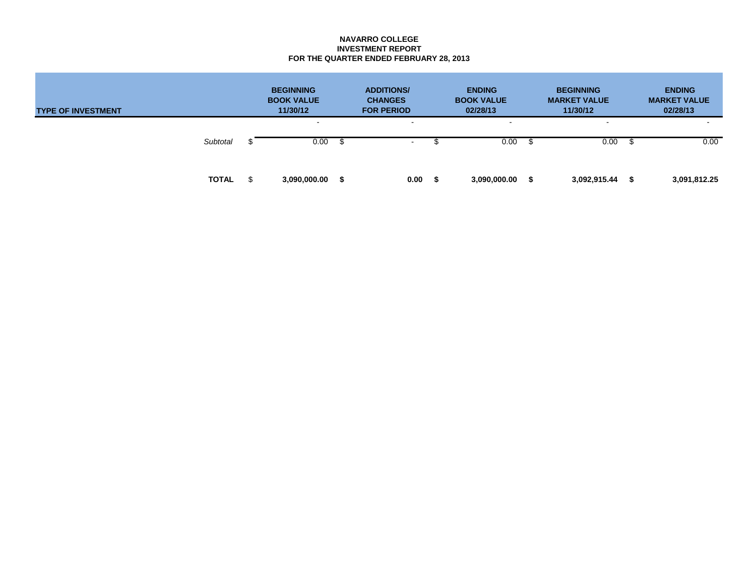### **NAVARRO COLLEGE INVESTMENT REPORT FOR THE QUARTER ENDED FEBRUARY 28, 2013**

| <b>TYPE OF INVESTMENT</b> |              |  | <b>BEGINNING</b><br><b>BOOK VALUE</b><br>11/30/12 | <b>ADDITIONS/</b><br><b>CHANGES</b><br><b>FOR PERIOD</b> |                  | <b>ENDING</b><br><b>BOOK VALUE</b><br>02/28/13 |                        |  | <b>BEGINNING</b><br><b>MARKET VALUE</b><br>11/30/12 |  | <b>ENDING</b><br><b>MARKET VALUE</b><br>02/28/13 |  |
|---------------------------|--------------|--|---------------------------------------------------|----------------------------------------------------------|------------------|------------------------------------------------|------------------------|--|-----------------------------------------------------|--|--------------------------------------------------|--|
|                           | Subtotal     |  | $\sim$<br>0.00                                    |                                                          | $\sim$<br>$\sim$ |                                                | $\blacksquare$<br>0.00 |  | $\,$ $\,$<br>0.00                                   |  | 0.00                                             |  |
|                           | <b>TOTAL</b> |  | 3,090,000.00                                      | - \$                                                     | 0.00             |                                                | 3,090,000.00           |  | 3,092,915.44                                        |  | 3,091,812.25                                     |  |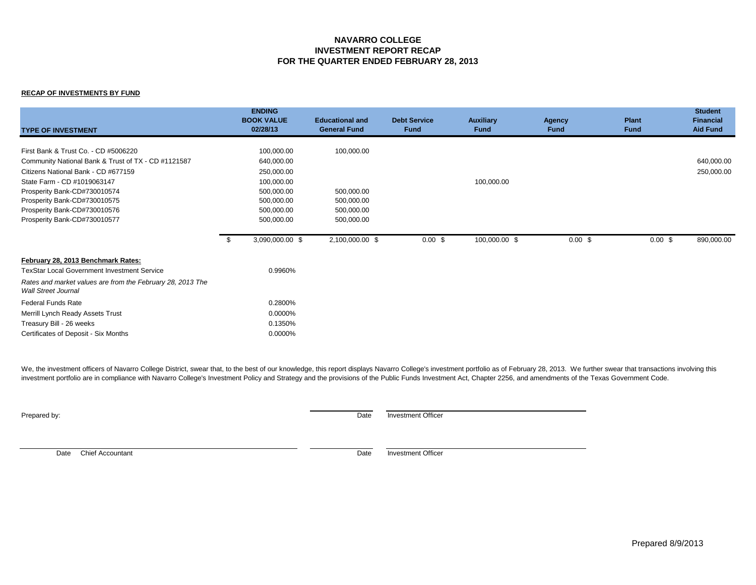## **NAVARRO COLLEGE INVESTMENT REPORT RECAP FOR THE QUARTER ENDED FEBRUARY 28, 2013**

#### **RECAP OF INVESTMENTS BY FUND**

| <b>TYPE OF INVESTMENT</b>                                                                                                                                                                                                                                                                         | <b>ENDING</b><br><b>BOOK VALUE</b><br>02/28/13                                                               | <b>Educational and</b><br><b>General Fund</b>                      | <b>Debt Service</b><br><b>Fund</b> | <b>Auxiliary</b><br><b>Fund</b> | <b>Agency</b><br><b>Fund</b> | <b>Plant</b><br><b>Fund</b> | <b>Student</b><br><b>Financial</b><br><b>Aid Fund</b> |
|---------------------------------------------------------------------------------------------------------------------------------------------------------------------------------------------------------------------------------------------------------------------------------------------------|--------------------------------------------------------------------------------------------------------------|--------------------------------------------------------------------|------------------------------------|---------------------------------|------------------------------|-----------------------------|-------------------------------------------------------|
| First Bank & Trust Co. - CD #5006220<br>Community National Bank & Trust of TX - CD #1121587<br>Citizens National Bank - CD #677159<br>State Farm - CD #1019063147<br>Prosperity Bank-CD#730010574<br>Prosperity Bank-CD#730010575<br>Prosperity Bank-CD#730010576<br>Prosperity Bank-CD#730010577 | 100,000.00<br>640,000.00<br>250,000.00<br>100,000.00<br>500,000.00<br>500,000.00<br>500,000.00<br>500,000.00 | 100,000.00<br>500,000.00<br>500,000.00<br>500,000.00<br>500,000.00 |                                    | 100,000.00                      |                              |                             | 640,000.00<br>250,000.00                              |
|                                                                                                                                                                                                                                                                                                   | 3,090,000.00 \$<br>- \$                                                                                      | 2,100,000.00 \$                                                    | $0.00$ \$                          | 100,000.00 \$                   | 0.00~\$                      | 0.00~\$                     | 890,000.00                                            |
| February 28, 2013 Benchmark Rates:<br><b>TexStar Local Government Investment Service</b><br>Rates and market values are from the February 28, 2013 The<br><b>Wall Street Journal</b>                                                                                                              | 0.9960%                                                                                                      |                                                                    |                                    |                                 |                              |                             |                                                       |
| <b>Federal Funds Rate</b><br>Merrill Lynch Ready Assets Trust<br>Treasury Bill - 26 weeks<br>Certificates of Deposit - Six Months                                                                                                                                                                 | 0.2800%<br>0.0000%<br>0.1350%<br>0.0000%                                                                     |                                                                    |                                    |                                 |                              |                             |                                                       |

We, the investment officers of Navarro College District, swear that, to the best of our knowledge, this report displays Navarro College's investment portfolio as of February 28, 2013. We further swear that transactions inv investment portfolio are in compliance with Navarro College's Investment Policy and Strategy and the provisions of the Public Funds Investment Act, Chapter 2256, and amendments of the Texas Government Code.

Prepared by: Date Investment Officer

Date Chief Accountant **Date** Investment Officer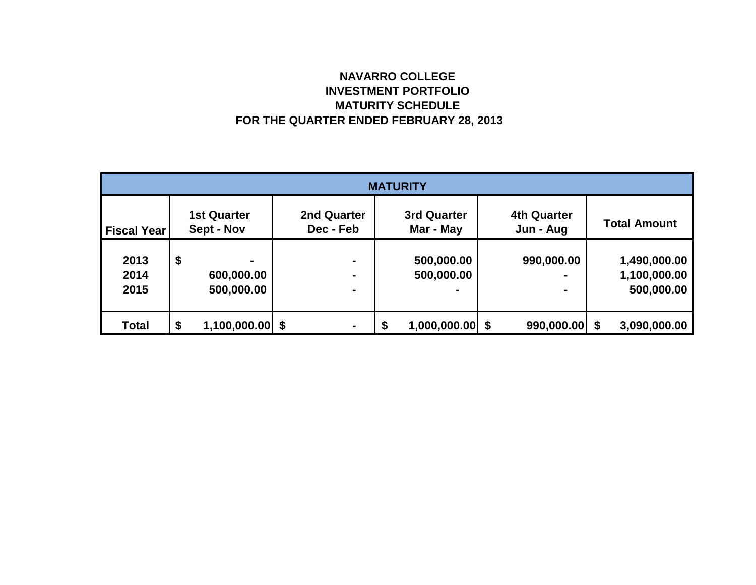# **NAVARRO COLLEGE INVESTMENT PORTFOLIO MATURITY SCHEDULE FOR THE QUARTER ENDED FEBRUARY 28, 2013**

| <b>MATURITY</b>    |    |                                  |                                 |    |                                 |  |                                 |  |                     |  |  |
|--------------------|----|----------------------------------|---------------------------------|----|---------------------------------|--|---------------------------------|--|---------------------|--|--|
| <b>Fiscal Year</b> |    | <b>1st Quarter</b><br>Sept - Nov | <b>2nd Quarter</b><br>Dec - Feb |    | <b>3rd Quarter</b><br>Mar - May |  | <b>4th Quarter</b><br>Jun - Aug |  | <b>Total Amount</b> |  |  |
|                    |    |                                  |                                 |    |                                 |  |                                 |  |                     |  |  |
| 2013               | \$ | ۰                                | $\blacksquare$                  |    | 500,000.00                      |  | 990,000.00                      |  | 1,490,000.00        |  |  |
| 2014               |    | 600,000.00                       | $\blacksquare$                  |    | 500,000.00                      |  | -                               |  | 1,100,000.00        |  |  |
| 2015               |    | 500,000.00                       | ۰                               |    |                                 |  | $\blacksquare$                  |  | 500,000.00          |  |  |
|                    |    |                                  |                                 |    |                                 |  |                                 |  |                     |  |  |
| <b>Total</b>       | \$ | $1,100,000.00$ \$                | $\blacksquare$                  | \$ | $1,000,000.00$ \$               |  | $990,000.00$ \$                 |  | 3,090,000.00        |  |  |